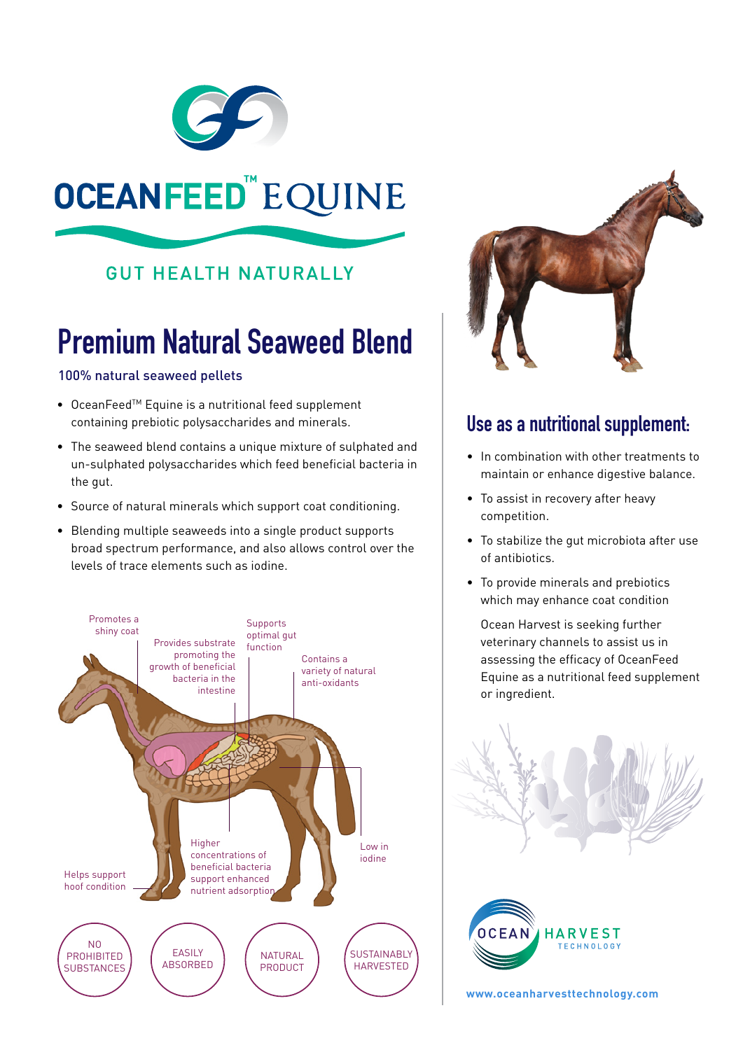

# OCEANFEED"EQUINE

### **GUT HEALTH NATURALLY**

# **Premium Natural Seaweed Blend**

#### 100% natural seaweed pellets

- OceanFeed<sup>™</sup> Equine is a nutritional feed supplement containing prebiotic polysaccharides and minerals.
- The seaweed blend contains a unique mixture of sulphated and un-sulphated polysaccharides which feed beneficial bacteria in the gut.
- Source of natural minerals which support coat conditioning.
- • Blending multiple seaweeds into a single product supports broad spectrum performance, and also allows control over the levels of trace elements such as iodine.





### **Use as a nutritional supplement:**

- • In combination with other treatments to maintain or enhance digestive balance.
- To assist in recovery after heavy competition.
- To stabilize the gut microbiota after use of antibiotics.
- To provide minerals and prebiotics which may enhance coat condition

 Ocean Harvest is seeking further veterinary channels to assist us in assessing the efficacy of OceanFeed Equine as a nutritional feed supplement or ingredient.





**www.oceanharvesttechnology.com**